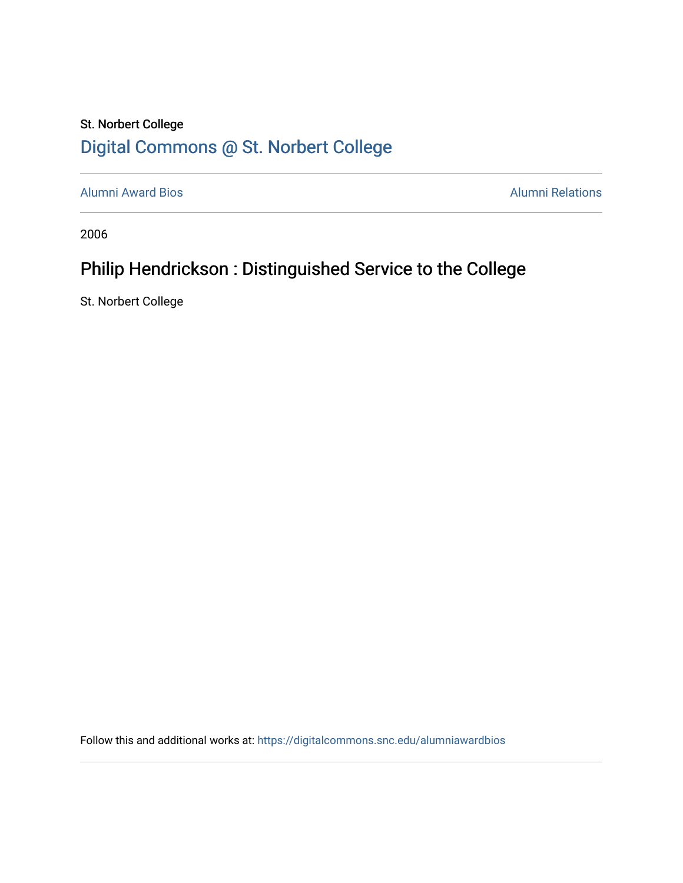## St. Norbert College [Digital Commons @ St. Norbert College](https://digitalcommons.snc.edu/)

[Alumni Award Bios](https://digitalcommons.snc.edu/alumniawardbios) **Alumni Relations** Alumni Relations

2006

## Philip Hendrickson : Distinguished Service to the College

St. Norbert College

Follow this and additional works at: [https://digitalcommons.snc.edu/alumniawardbios](https://digitalcommons.snc.edu/alumniawardbios?utm_source=digitalcommons.snc.edu%2Falumniawardbios%2F12&utm_medium=PDF&utm_campaign=PDFCoverPages)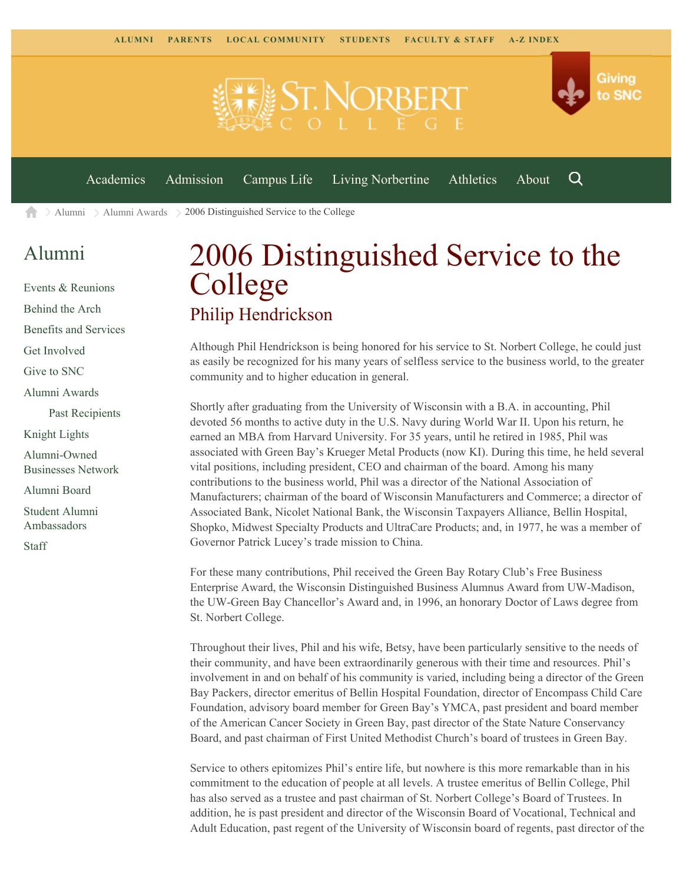

[Alumni](https://www.snc.edu/alumni/) [Alumni Awards](https://www.snc.edu/alumni/awards/) 2006 Distinguished Service to the College A

## [Alumni](https://www.snc.edu/alumni/index.html)

[Events & Reunions](https://www.snc.edu/alumni/event/index.html) [Behind the Arch](https://www.snc.edu/alumni/event/behindthearch/) [Benefits and Services](https://www.snc.edu/alumni/benefits.html) [Get Involved](https://www.snc.edu/alumni/getinvolved.html) [Give to SNC](http://giving.snc.edu/) [Alumni Awards](https://www.snc.edu/alumni/awards/index.html) [Past Recipients](https://www.snc.edu/alumni/awards/recipients.html) [Knight Lights](https://www.snc.edu/alumni/knightlights/index.html) [Alumni-Owned](https://www.snc.edu/alumni/directory/index.html) [Businesses Network](https://www.snc.edu/alumni/directory/index.html) [Alumni Board](https://www.snc.edu/alumni/alumniboard.html) [Student Alumni](https://www.snc.edu/alumni/saa.html) [Ambassadors](https://www.snc.edu/alumni/saa.html) [Staff](https://www.snc.edu/alumni/contactus.html)

## 2006 Distinguished Service to the College Philip Hendrickson

Although Phil Hendrickson is being honored for his service to St. Norbert College, he could just as easily be recognized for his many years of selfless service to the business world, to the greater community and to higher education in general.

Shortly after graduating from the University of Wisconsin with a B.A. in accounting, Phil devoted 56 months to active duty in the U.S. Navy during World War II. Upon his return, he earned an MBA from Harvard University. For 35 years, until he retired in 1985, Phil was associated with Green Bay's Krueger Metal Products (now KI). During this time, he held several vital positions, including president, CEO and chairman of the board. Among his many contributions to the business world, Phil was a director of the National Association of Manufacturers; chairman of the board of Wisconsin Manufacturers and Commerce; a director of Associated Bank, Nicolet National Bank, the Wisconsin Taxpayers Alliance, Bellin Hospital, Shopko, Midwest Specialty Products and UltraCare Products; and, in 1977, he was a member of Governor Patrick Lucey's trade mission to China.

For these many contributions, Phil received the Green Bay Rotary Club's Free Business Enterprise Award, the Wisconsin Distinguished Business Alumnus Award from UW-Madison, the UW-Green Bay Chancellor's Award and, in 1996, an honorary Doctor of Laws degree from St. Norbert College.

Throughout their lives, Phil and his wife, Betsy, have been particularly sensitive to the needs of their community, and have been extraordinarily generous with their time and resources. Phil's involvement in and on behalf of his community is varied, including being a director of the Green Bay Packers, director emeritus of Bellin Hospital Foundation, director of Encompass Child Care Foundation, advisory board member for Green Bay's YMCA, past president and board member of the American Cancer Society in Green Bay, past director of the State Nature Conservancy Board, and past chairman of First United Methodist Church's board of trustees in Green Bay.

Service to others epitomizes Phil's entire life, but nowhere is this more remarkable than in his commitment to the education of people at all levels. A trustee emeritus of Bellin College, Phil has also served as a trustee and past chairman of St. Norbert College's Board of Trustees. In addition, he is past president and director of the Wisconsin Board of Vocational, Technical and Adult Education, past regent of the University of Wisconsin board of regents, past director of the